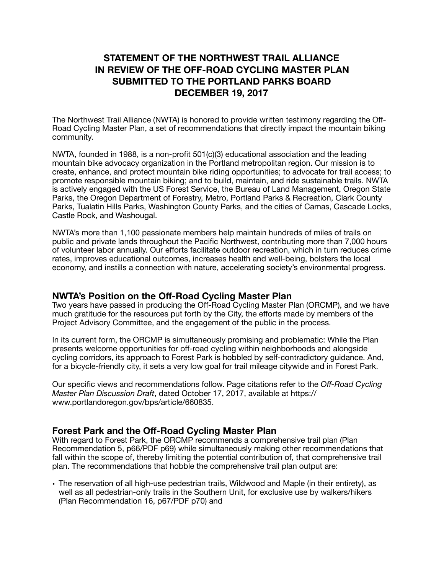# **STATEMENT OF THE NORTHWEST TRAIL ALLIANCE IN REVIEW OF THE OFF-ROAD CYCLING MASTER PLAN SUBMITTED TO THE PORTLAND PARKS BOARD DECEMBER 19, 2017**

The Northwest Trail Alliance (NWTA) is honored to provide written testimony regarding the Off-Road Cycling Master Plan, a set of recommendations that directly impact the mountain biking community.

NWTA, founded in 1988, is a non-profit 501(c)(3) educational association and the leading mountain bike advocacy organization in the Portland metropolitan region. Our mission is to create, enhance, and protect mountain bike riding opportunities; to advocate for trail access; to promote responsible mountain biking; and to build, maintain, and ride sustainable trails. NWTA is actively engaged with the US Forest Service, the Bureau of Land Management, Oregon State Parks, the Oregon Department of Forestry, Metro, Portland Parks & Recreation, Clark County Parks, Tualatin Hills Parks, Washington County Parks, and the cities of Camas, Cascade Locks, Castle Rock, and Washougal.

NWTA's more than 1,100 passionate members help maintain hundreds of miles of trails on public and private lands throughout the Pacific Northwest, contributing more than 7,000 hours of volunteer labor annually. Our efforts facilitate outdoor recreation, which in turn reduces crime rates, improves educational outcomes, increases health and well-being, bolsters the local economy, and instills a connection with nature, accelerating society's environmental progress.

## **NWTA's Position on the Off-Road Cycling Master Plan**

Two years have passed in producing the Off-Road Cycling Master Plan (ORCMP), and we have much gratitude for the resources put forth by the City, the efforts made by members of the Project Advisory Committee, and the engagement of the public in the process.

In its current form, the ORCMP is simultaneously promising and problematic: While the Plan presents welcome opportunities for off-road cycling within neighborhoods and alongside cycling corridors, its approach to Forest Park is hobbled by self-contradictory guidance. And, for a bicycle-friendly city, it sets a very low goal for trail mileage citywide and in Forest Park.

Our specific views and recommendations follow. Page citations refer to the *Off-Road Cycling Master Plan Discussion Draft*, dated October 17, 2017, available at https:// www.portlandoregon.gov/bps/article/660835.

## **Forest Park and the Off-Road Cycling Master Plan**

With regard to Forest Park, the ORCMP recommends a comprehensive trail plan (Plan Recommendation 5, p66/PDF p69) while simultaneously making other recommendations that fall within the scope of, thereby limiting the potential contribution of, that comprehensive trail plan. The recommendations that hobble the comprehensive trail plan output are:

• The reservation of all high-use pedestrian trails, Wildwood and Maple (in their entirety), as well as all pedestrian-only trails in the Southern Unit, for exclusive use by walkers/hikers (Plan Recommendation 16, p67/PDF p70) and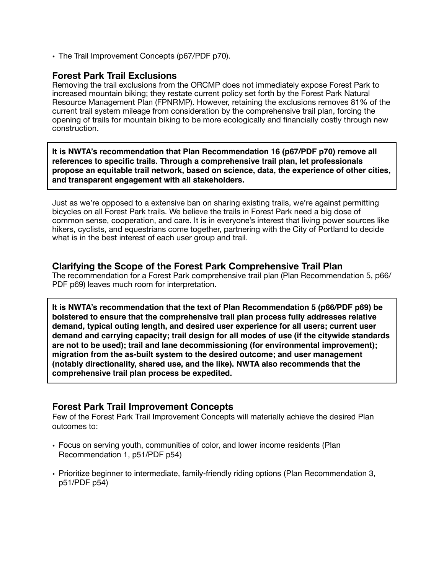• The Trail Improvement Concepts (p67/PDF p70).

#### **Forest Park Trail Exclusions**

Removing the trail exclusions from the ORCMP does not immediately expose Forest Park to increased mountain biking; they restate current policy set forth by the Forest Park Natural Resource Management Plan (FPNRMP). However, retaining the exclusions removes 81% of the current trail system mileage from consideration by the comprehensive trail plan, forcing the opening of trails for mountain biking to be more ecologically and financially costly through new construction.

**It is NWTA's recommendation that Plan Recommendation 16 (p67/PDF p70) remove all references to specific trails. Through a comprehensive trail plan, let professionals propose an equitable trail network, based on science, data, the experience of other cities, and transparent engagement with all stakeholders.**

Just as we're opposed to a extensive ban on sharing existing trails, we're against permitting bicycles on all Forest Park trails. We believe the trails in Forest Park need a big dose of common sense, cooperation, and care. It is in everyone's interest that living power sources like hikers, cyclists, and equestrians come together, partnering with the City of Portland to decide what is in the best interest of each user group and trail.

#### **Clarifying the Scope of the Forest Park Comprehensive Trail Plan**

The recommendation for a Forest Park comprehensive trail plan (Plan Recommendation 5, p66/ PDF p69) leaves much room for interpretation.

**It is NWTA's recommendation that the text of Plan Recommendation 5 (p66/PDF p69) be bolstered to ensure that the comprehensive trail plan process fully addresses relative demand, typical outing length, and desired user experience for all users; current user demand and carrying capacity; trail design for all modes of use (if the citywide standards are not to be used); trail and lane decommissioning (for environmental improvement); migration from the as-built system to the desired outcome; and user management (notably directionality, shared use, and the like). NWTA also recommends that the comprehensive trail plan process be expedited.**

## **Forest Park Trail Improvement Concepts**

Few of the Forest Park Trail Improvement Concepts will materially achieve the desired Plan outcomes to:

- Focus on serving youth, communities of color, and lower income residents (Plan Recommendation 1, p51/PDF p54)
- Prioritize beginner to intermediate, family-friendly riding options (Plan Recommendation 3, p51/PDF p54)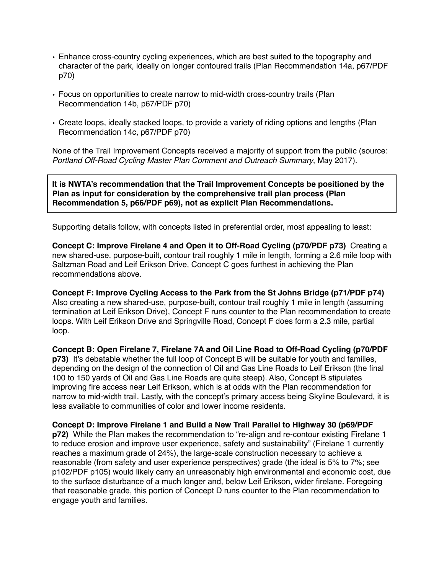- Enhance cross-country cycling experiences, which are best suited to the topography and character of the park, ideally on longer contoured trails (Plan Recommendation 14a, p67/PDF p70)
- Focus on opportunities to create narrow to mid-width cross-country trails (Plan Recommendation 14b, p67/PDF p70)
- Create loops, ideally stacked loops, to provide a variety of riding options and lengths (Plan Recommendation 14c, p67/PDF p70)

None of the Trail Improvement Concepts received a majority of support from the public (source: *Portland Off-Road Cycling Master Plan Comment and Outreach Summary*, May 2017).

**It is NWTA's recommendation that the Trail Improvement Concepts be positioned by the Plan as input for consideration by the comprehensive trail plan process (Plan Recommendation 5, p66/PDF p69), not as explicit Plan Recommendations.**

Supporting details follow, with concepts listed in preferential order, most appealing to least:

**Concept C: Improve Firelane 4 and Open it to Off-Road Cycling (p70/PDF p73)** Creating a new shared-use, purpose-built, contour trail roughly 1 mile in length, forming a 2.6 mile loop with Saltzman Road and Leif Erikson Drive, Concept C goes furthest in achieving the Plan recommendations above.

**Concept F: Improve Cycling Access to the Park from the St Johns Bridge (p71/PDF p74)**  Also creating a new shared-use, purpose-built, contour trail roughly 1 mile in length (assuming termination at Leif Erikson Drive), Concept F runs counter to the Plan recommendation to create loops. With Leif Erikson Drive and Springville Road, Concept F does form a 2.3 mile, partial loop.

**Concept B: Open Firelane 7, Firelane 7A and Oil Line Road to Off-Road Cycling (p70/PDF p73)** It's debatable whether the full loop of Concept B will be suitable for youth and families, depending on the design of the connection of Oil and Gas Line Roads to Leif Erikson (the final 100 to 150 yards of Oil and Gas Line Roads are quite steep). Also, Concept B stipulates improving fire access near Leif Erikson, which is at odds with the Plan recommendation for narrow to mid-width trail. Lastly, with the concept's primary access being Skyline Boulevard, it is less available to communities of color and lower income residents.

**Concept D: Improve Firelane 1 and Build a New Trail Parallel to Highway 30 (p69/PDF p72)** While the Plan makes the recommendation to "re-align and re-contour existing Firelane 1

to reduce erosion and improve user experience, safety and sustainability" (Firelane 1 currently reaches a maximum grade of 24%), the large-scale construction necessary to achieve a reasonable (from safety and user experience perspectives) grade (the ideal is 5% to 7%; see p102/PDF p105) would likely carry an unreasonably high environmental and economic cost, due to the surface disturbance of a much longer and, below Leif Erikson, wider firelane. Foregoing that reasonable grade, this portion of Concept D runs counter to the Plan recommendation to engage youth and families.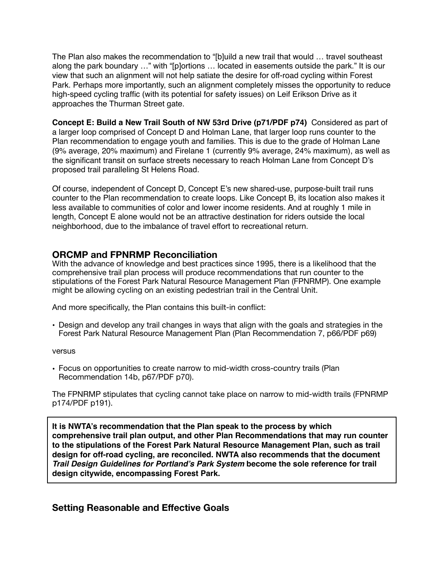The Plan also makes the recommendation to "[b]uild a new trail that would … travel southeast along the park boundary …" with "[p]ortions … located in easements outside the park." It is our view that such an alignment will not help satiate the desire for off-road cycling within Forest Park. Perhaps more importantly, such an alignment completely misses the opportunity to reduce high-speed cycling traffic (with its potential for safety issues) on Leif Erikson Drive as it approaches the Thurman Street gate.

**Concept E: Build a New Trail South of NW 53rd Drive (p71/PDF p74)** Considered as part of a larger loop comprised of Concept D and Holman Lane, that larger loop runs counter to the Plan recommendation to engage youth and families. This is due to the grade of Holman Lane (9% average, 20% maximum) and Firelane 1 (currently 9% average, 24% maximum), as well as the significant transit on surface streets necessary to reach Holman Lane from Concept D's proposed trail paralleling St Helens Road.

Of course, independent of Concept D, Concept E's new shared-use, purpose-built trail runs counter to the Plan recommendation to create loops. Like Concept B, its location also makes it less available to communities of color and lower income residents. And at roughly 1 mile in length, Concept E alone would not be an attractive destination for riders outside the local neighborhood, due to the imbalance of travel effort to recreational return.

# **ORCMP and FPNRMP Reconciliation**

With the advance of knowledge and best practices since 1995, there is a likelihood that the comprehensive trail plan process will produce recommendations that run counter to the stipulations of the Forest Park Natural Resource Management Plan (FPNRMP). One example might be allowing cycling on an existing pedestrian trail in the Central Unit.

And more specifically, the Plan contains this built-in conflict:

• Design and develop any trail changes in ways that align with the goals and strategies in the Forest Park Natural Resource Management Plan (Plan Recommendation 7, p66/PDF p69)

#### versus

• Focus on opportunities to create narrow to mid-width cross-country trails (Plan Recommendation 14b, p67/PDF p70).

The FPNRMP stipulates that cycling cannot take place on narrow to mid-width trails (FPNRMP p174/PDF p191).

**It is NWTA's recommendation that the Plan speak to the process by which comprehensive trail plan output, and other Plan Recommendations that may run counter to the stipulations of the Forest Park Natural Resource Management Plan, such as trail design for off-road cycling, are reconciled. NWTA also recommends that the document**  *Trail Design Guidelines for Portland's Park System* **become the sole reference for trail design citywide, encompassing Forest Park.**

# **Setting Reasonable and Effective Goals**